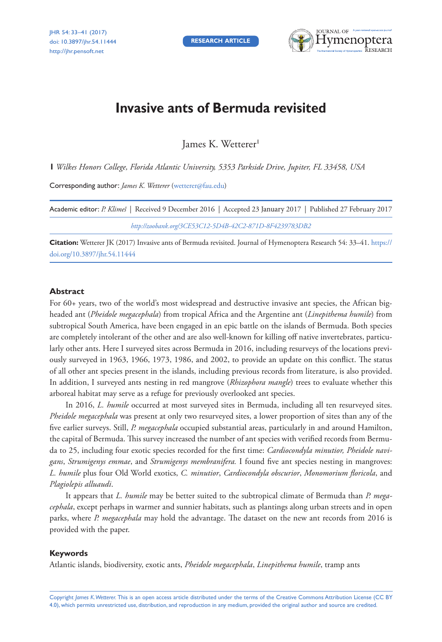**RESEARCH ARTICLE**



# **Invasive ants of Bermuda revisited**

James K. Wetterer

**1** *Wilkes Honors College, Florida Atlantic University, 5353 Parkside Drive, Jupiter, FL 33458, USA*

Corresponding author: *James K. Wetterer* [\(wetterer@fau.edu\)](mailto:wetterer@fau.edu)

| Academic editor: P. Klimeš   Received 9 December 2016   Accepted 23 January 2017   Published 27 February 2017 |
|---------------------------------------------------------------------------------------------------------------|
| http://zoobank.org/3CE53C12-5D4B-42C2-871D-8F4239783DB2                                                       |

**Citation:** Wetterer JK (2017) Invasive ants of Bermuda revisited. Journal of Hymenoptera Research 54: 33–41. [https://](https://doi.org/10.3897/jhr.54.11444) [doi.org/10.3897/jhr.54.11444](https://doi.org/10.3897/jhr.54.11444)

#### **Abstract**

For 60+ years, two of the world's most widespread and destructive invasive ant species, the African bigheaded ant (*Pheidole megacephala*) from tropical Africa and the Argentine ant (*Linepithema humile*) from subtropical South America, have been engaged in an epic battle on the islands of Bermuda. Both species are completely intolerant of the other and are also well-known for killing off native invertebrates, particularly other ants. Here I surveyed sites across Bermuda in 2016, including resurveys of the locations previously surveyed in 1963, 1966, 1973, 1986, and 2002, to provide an update on this conflict. The status of all other ant species present in the islands, including previous records from literature, is also provided. In addition, I surveyed ants nesting in red mangrove (*Rhizophora mangle*) trees to evaluate whether this arboreal habitat may serve as a refuge for previously overlooked ant species.

In 2016, *L. humile* occurred at most surveyed sites in Bermuda, including all ten resurveyed sites. *Pheidole megacephala* was present at only two resurveyed sites, a lower proportion of sites than any of the five earlier surveys. Still, *P. megacephala* occupied substantial areas, particularly in and around Hamilton, the capital of Bermuda. This survey increased the number of ant species with verified records from Bermuda to 25, including four exotic species recorded for the first time: *Cardiocondyla minutior, Pheidole navigans*, *Strumigenys emmae*, and *Strumigenys membranifera.* I found five ant species nesting in mangroves: *L. humile* plus four Old World exotics, *C. minutior*, *Cardiocondyla obscurior*, *Monomorium floricola*, and *Plagiolepis alluaudi*.

It appears that *L. humile* may be better suited to the subtropical climate of Bermuda than *P. megacephala*, except perhaps in warmer and sunnier habitats, such as plantings along urban streets and in open parks, where *P. megacephala* may hold the advantage. The dataset on the new ant records from 2016 is provided with the paper.

#### **Keywords**

Atlantic islands, biodiversity, exotic ants, *Pheidole megacephala*, *Linepithema humile*, tramp ants

Copyright *James K. Wetterer.* This is an open access article distributed under the terms of the [Creative Commons Attribution License \(CC BY](http://creativecommons.org/licenses/by/4.0/)  [4.0\)](http://creativecommons.org/licenses/by/4.0/), which permits unrestricted use, distribution, and reproduction in any medium, provided the original author and source are credited.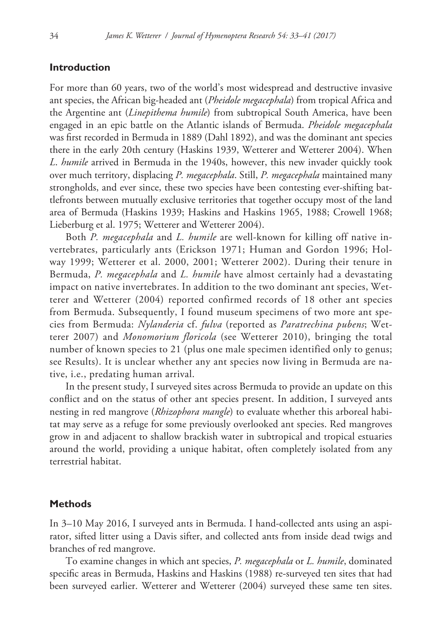## **Introduction**

For more than 60 years, two of the world's most widespread and destructive invasive ant species, the African big-headed ant (*Pheidole megacephala*) from tropical Africa and the Argentine ant (*Linepithema humile*) from subtropical South America, have been engaged in an epic battle on the Atlantic islands of Bermuda. *Pheidole megacephala* was first recorded in Bermuda in 1889 (Dahl 1892), and was the dominant ant species there in the early 20th century (Haskins 1939, Wetterer and Wetterer 2004). When *L*. *humile* arrived in Bermuda in the 1940s, however, this new invader quickly took over much territory, displacing *P. megacephala*. Still, *P. megacephala* maintained many strongholds, and ever since, these two species have been contesting ever-shifting battlefronts between mutually exclusive territories that together occupy most of the land area of Bermuda (Haskins 1939; Haskins and Haskins 1965, 1988; Crowell 1968; Lieberburg et al. 1975; Wetterer and Wetterer 2004).

Both *P. megacephala* and *L. humile* are well-known for killing off native invertebrates, particularly ants (Erickson 1971; Human and Gordon 1996; Holway 1999; Wetterer et al. 2000, 2001; Wetterer 2002). During their tenure in Bermuda, *P. megacephala* and *L. humile* have almost certainly had a devastating impact on native invertebrates. In addition to the two dominant ant species, Wetterer and Wetterer (2004) reported confirmed records of 18 other ant species from Bermuda. Subsequently, I found museum specimens of two more ant species from Bermuda: *Nylanderia* cf. *fulva* (reported as *Paratrechina pubens*; Wetterer 2007) and *Monomorium floricola* (see Wetterer 2010), bringing the total number of known species to 21 (plus one male specimen identified only to genus; see Results). It is unclear whether any ant species now living in Bermuda are native, i.e., predating human arrival.

In the present study, I surveyed sites across Bermuda to provide an update on this conflict and on the status of other ant species present. In addition, I surveyed ants nesting in red mangrove (*Rhizophora mangle*) to evaluate whether this arboreal habitat may serve as a refuge for some previously overlooked ant species. Red mangroves grow in and adjacent to shallow brackish water in subtropical and tropical estuaries around the world, providing a unique habitat, often completely isolated from any terrestrial habitat.

#### **Methods**

In 3–10 May 2016, I surveyed ants in Bermuda. I hand-collected ants using an aspirator, sifted litter using a Davis sifter, and collected ants from inside dead twigs and branches of red mangrove.

To examine changes in which ant species, *P. megacephala* or *L. humile*, dominated specific areas in Bermuda, Haskins and Haskins (1988) re-surveyed ten sites that had been surveyed earlier. Wetterer and Wetterer (2004) surveyed these same ten sites.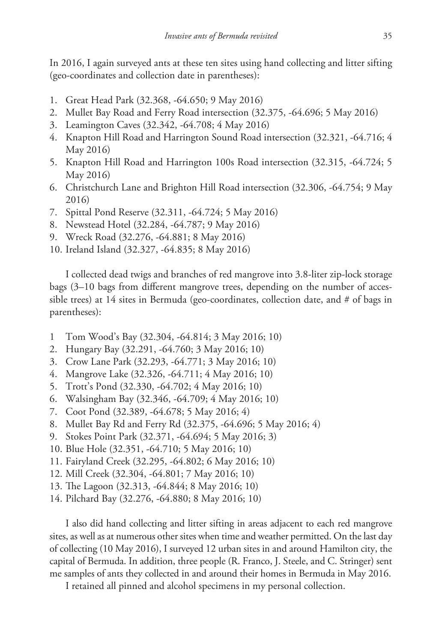In 2016, I again surveyed ants at these ten sites using hand collecting and litter sifting (geo-coordinates and collection date in parentheses):

- 1. Great Head Park (32.368, -64.650; 9 May 2016)
- 2. Mullet Bay Road and Ferry Road intersection (32.375, -64.696; 5 May 2016)
- 3. Leamington Caves (32.342, -64.708; 4 May 2016)
- 4. Knapton Hill Road and Harrington Sound Road intersection (32.321, -64.716; 4 May 2016)
- 5. Knapton Hill Road and Harrington 100s Road intersection (32.315, -64.724; 5 May 2016)
- 6. Christchurch Lane and Brighton Hill Road intersection (32.306, -64.754; 9 May 2016)
- 7. Spittal Pond Reserve (32.311, -64.724; 5 May 2016)
- 8. Newstead Hotel (32.284, -64.787; 9 May 2016)
- 9. Wreck Road (32.276, -64.881; 8 May 2016)
- 10. Ireland Island (32.327, -64.835; 8 May 2016)

I collected dead twigs and branches of red mangrove into 3.8-liter zip-lock storage bags (3–10 bags from different mangrove trees, depending on the number of accessible trees) at 14 sites in Bermuda (geo-coordinates, collection date, and  $#$  of bags in parentheses):

- 1 Tom Wood's Bay (32.304, -64.814; 3 May 2016; 10)
- 2. Hungary Bay (32.291, -64.760; 3 May 2016; 10)
- 3. Crow Lane Park (32.293, -64.771; 3 May 2016; 10)
- 4. Mangrove Lake (32.326, -64.711; 4 May 2016; 10)
- 5. Trott's Pond (32.330, -64.702; 4 May 2016; 10)
- 6. Walsingham Bay (32.346, -64.709; 4 May 2016; 10)
- 7. Coot Pond (32.389, -64.678; 5 May 2016; 4)
- 8. Mullet Bay Rd and Ferry Rd (32.375, -64.696; 5 May 2016; 4)
- 9. Stokes Point Park (32.371, -64.694; 5 May 2016; 3)
- 10. Blue Hole (32.351, -64.710; 5 May 2016; 10)
- 11. Fairyland Creek (32.295, -64.802; 6 May 2016; 10)
- 12. Mill Creek (32.304, -64.801; 7 May 2016; 10)
- 13. The Lagoon (32.313, -64.844; 8 May 2016; 10)
- 14. Pilchard Bay (32.276, -64.880; 8 May 2016; 10)

I also did hand collecting and litter sifting in areas adjacent to each red mangrove sites, as well as at numerous other sites when time and weather permitted. On the last day of collecting (10 May 2016), I surveyed 12 urban sites in and around Hamilton city, the capital of Bermuda. In addition, three people (R. Franco, J. Steele, and C. Stringer) sent me samples of ants they collected in and around their homes in Bermuda in May 2016.

I retained all pinned and alcohol specimens in my personal collection.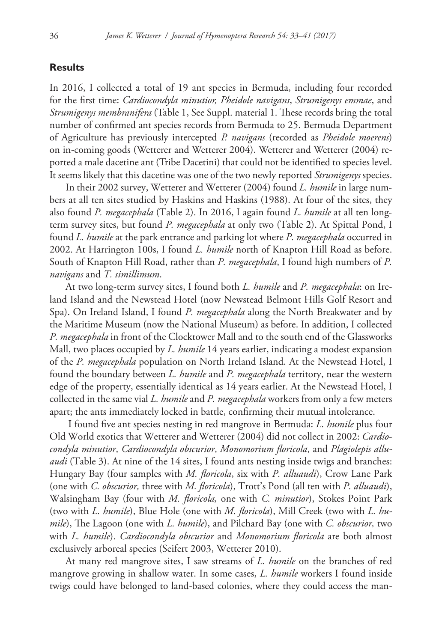#### **Results**

In 2016, I collected a total of 19 ant species in Bermuda, including four recorded for the first time: *Cardiocondyla minutior, Pheidole navigans*, *Strumigenys emmae*, and *Strumigenys membranifera* (Table 1, See Suppl. material 1. These records bring the total number of confirmed ant species records from Bermuda to 25. Bermuda Department of Agriculture has previously intercepted *P. navigans* (recorded as *Pheidole moerens*) on in-coming goods (Wetterer and Wetterer 2004). Wetterer and Wetterer (2004) reported a male dacetine ant (Tribe Dacetini) that could not be identified to species level. It seems likely that this dacetine was one of the two newly reported *Strumigenys* species.

In their 2002 survey, Wetterer and Wetterer (2004) found *L. humile* in large numbers at all ten sites studied by Haskins and Haskins (1988). At four of the sites, they also found *P. megacephala* (Table 2). In 2016, I again found *L. humile* at all ten longterm survey sites, but found *P. megacephala* at only two (Table 2). At Spittal Pond, I found *L. humile* at the park entrance and parking lot where *P. megacephala* occurred in 2002. At Harrington 100s, I found *L. humile* north of Knapton Hill Road as before. South of Knapton Hill Road, rather than *P. megacephala*, I found high numbers of *P. navigans* and *T. simillimum*.

At two long-term survey sites, I found both *L. humile* and *P. megacephala*: on Ireland Island and the Newstead Hotel (now Newstead Belmont Hills Golf Resort and Spa). On Ireland Island, I found *P. megacephala* along the North Breakwater and by the Maritime Museum (now the National Museum) as before. In addition, I collected *P. megacephala* in front of the Clocktower Mall and to the south end of the Glassworks Mall, two places occupied by *L. humile* 14 years earlier, indicating a modest expansion of the *P. megacephala* population on North Ireland Island. At the Newstead Hotel, I found the boundary between *L. humile* and *P. megacephala* territory, near the western edge of the property, essentially identical as 14 years earlier. At the Newstead Hotel, I collected in the same vial *L. humile* and *P. megacephala* workers from only a few meters apart; the ants immediately locked in battle, confirming their mutual intolerance.

 I found five ant species nesting in red mangrove in Bermuda: *L. humile* plus four Old World exotics that Wetterer and Wetterer (2004) did not collect in 2002: *Cardiocondyla minutior*, *Cardiocondyla obscurior*, *Monomorium floricola*, and *Plagiolepis alluaudi* (Table 3). At nine of the 14 sites, I found ants nesting inside twigs and branches: Hungary Bay (four samples with *M. floricola*, six with *P. alluaudi*), Crow Lane Park (one with *C. obscurior,* three with *M. floricola*), Trott's Pond (all ten with *P. alluaudi*), Walsingham Bay (four with *M. floricola,* one with *C. minutior*), Stokes Point Park (two with *L. humile*), Blue Hole (one with *M. floricola*), Mill Creek (two with *L. humile*), The Lagoon (one with *L. humile*), and Pilchard Bay (one with *C. obscurior,* two with *L. humile*). *Cardiocondyla obscurior* and *Monomorium floricola* are both almost exclusively arboreal species (Seifert 2003, Wetterer 2010).

At many red mangrove sites, I saw streams of *L. humile* on the branches of red mangrove growing in shallow water. In some cases, *L. humile* workers I found inside twigs could have belonged to land-based colonies, where they could access the man-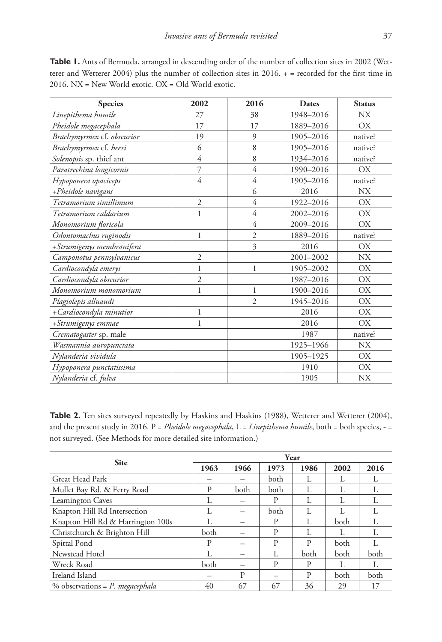| <b>Species</b>             | 2002           | 2016           | Dates     | <b>Status</b> |  |
|----------------------------|----------------|----------------|-----------|---------------|--|
| Linepithema humile         | 27             | 38             | 1948-2016 | NX.           |  |
| Pheidole megacephala       | 17             | 17             | 1889-2016 | OX            |  |
| Brachymyrmex cf. obscurior | 19             | 9              | 1905-2016 | native?       |  |
| Brachymyrmex cf. heeri     | 6              | 8              | 1905-2016 | native?       |  |
| Solenopsis sp. thief ant   | $\overline{4}$ | 8              | 1934-2016 | native?       |  |
| Paratrechina longicornis   | 7              | $\overline{4}$ | 1990-2016 | OX            |  |
| Hypoponera opaciceps       | 4              | $\overline{4}$ | 1905-2016 | native?       |  |
| +Pheidole navigans         |                | 6              | 2016      | <b>NX</b>     |  |
| Tetramorium simillimum     | $\overline{2}$ | $\overline{4}$ | 1922-2016 | <b>OX</b>     |  |
| Tetramorium caldarium      | $\mathbf{1}$   | $\overline{4}$ | 2002-2016 | OX            |  |
| Monomorium floricola       |                | 4              | 2009-2016 | OX            |  |
| Odontomachus ruginodis     | 1              | $\overline{2}$ | 1889-2016 | native?       |  |
| +Strumigenys membranifera  |                | 3              | 2016      | OX.           |  |
| Camponotus pennsylvanicus  | $\mathfrak{2}$ |                | 2001-2002 | <b>NX</b>     |  |
| Cardiocondyla emeryi       | $\mathbf{1}$   | 1              | 1905-2002 | OX            |  |
| Cardiocondyla obscurior    | $\overline{2}$ |                | 1987-2016 | OX            |  |
| Monomorium monomorium      | $\mathbf{1}$   | 1              | 1900-2016 | OX            |  |
| Plagiolepis alluaudi       |                | $\overline{2}$ | 1945-2016 | <b>OX</b>     |  |
| + Cardiocondyla minutior   | $\mathbf{1}$   |                | 2016      | <b>OX</b>     |  |
| +Strumigenys emmae         | $\mathbf{1}$   |                | 2016      | OX.           |  |
| Crematogaster sp. male     |                |                | 1987      | native?       |  |
| Wasmannia auropunctata     |                |                | 1925-1966 | <b>NX</b>     |  |
| Nylanderia vividula        |                |                | 1905-1925 | OX            |  |
| Hypoponera punctatissima   |                |                | 1910      | OX            |  |
| Nylanderia cf. fulva       |                |                | 1905      | <b>NX</b>     |  |

**Table 1.** Ants of Bermuda, arranged in descending order of the number of collection sites in 2002 (Wetterer and Wetterer 2004) plus the number of collection sites in 2016. + = recorded for the first time in 2016. NX = New World exotic. OX = Old World exotic.

Table 2. Ten sites surveyed repeatedly by Haskins and Haskins (1988), Wetterer and Wetterer (2004), and the present study in 2016. P = *Pheidole megacephala*, L = *Linepithema humile*, both = both species, - = not surveyed. (See Methods for more detailed site information.)

|                                    | Year |      |      |      |             |      |
|------------------------------------|------|------|------|------|-------------|------|
| <b>Site</b>                        | 1963 | 1966 | 1973 | 1986 | 2002        | 2016 |
| Great Head Park                    |      |      | both | L    |             |      |
| Mullet Bay Rd. & Ferry Road        | P    | both | both |      |             |      |
| <b>Leamington Caves</b>            | L    |      | P    | L    | L           |      |
| Knapton Hill Rd Intersection       |      |      | both |      |             |      |
| Knapton Hill Rd & Harrington 100s  |      |      | P    | L    | <b>both</b> | L    |
| Christchurch & Brighton Hill       | both |      | P    | L    | L           |      |
| Spittal Pond                       | P    |      | P    | P    | both        |      |
| Newstead Hotel                     |      |      |      | both | both        | both |
| Wreck Road                         | both |      | P    | P    | L           | L    |
| Ireland Island                     |      | P    |      | P    | both        | both |
| % observations = $P$ . megacephala | 40   | 67   | 67   | 36   | 29          | 17   |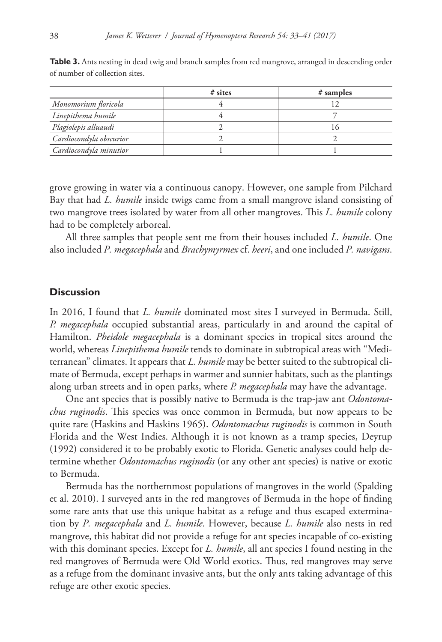|                         | $#$ sites | # samples |
|-------------------------|-----------|-----------|
| Monomorium floricola    |           |           |
| Linepithema humile      |           |           |
| Plagiolepis alluaudi    |           |           |
| Cardiocondyla obscurior |           |           |
| Cardiocondyla minutior  |           |           |

**Table 3.** Ants nesting in dead twig and branch samples from red mangrove, arranged in descending order of number of collection sites.

grove growing in water via a continuous canopy. However, one sample from Pilchard Bay that had *L. humile* inside twigs came from a small mangrove island consisting of two mangrove trees isolated by water from all other mangroves. This *L. humile* colony had to be completely arboreal.

All three samples that people sent me from their houses included *L. humile*. One also included *P. megacephala* and *Brachymyrmex* cf. *heeri*, and one included *P. navigans*.

#### **Discussion**

In 2016, I found that *L. humile* dominated most sites I surveyed in Bermuda. Still, *P. megacephala* occupied substantial areas, particularly in and around the capital of Hamilton. *Pheidole megacephala* is a dominant species in tropical sites around the world, whereas *Linepithema humile* tends to dominate in subtropical areas with "Mediterranean" climates. It appears that *L. humile* may be better suited to the subtropical climate of Bermuda, except perhaps in warmer and sunnier habitats, such as the plantings along urban streets and in open parks, where *P. megacephala* may have the advantage.

One ant species that is possibly native to Bermuda is the trap-jaw ant *Odontomachus ruginodis*. This species was once common in Bermuda, but now appears to be quite rare (Haskins and Haskins 1965). *Odontomachus ruginodis* is common in South Florida and the West Indies. Although it is not known as a tramp species, Deyrup (1992) considered it to be probably exotic to Florida. Genetic analyses could help determine whether *Odontomachus ruginodis* (or any other ant species) is native or exotic to Bermuda.

Bermuda has the northernmost populations of mangroves in the world (Spalding et al. 2010). I surveyed ants in the red mangroves of Bermuda in the hope of finding some rare ants that use this unique habitat as a refuge and thus escaped extermination by *P. megacephala* and *L. humile*. However, because *L. humile* also nests in red mangrove, this habitat did not provide a refuge for ant species incapable of co-existing with this dominant species. Except for *L. humile*, all ant species I found nesting in the red mangroves of Bermuda were Old World exotics. Thus, red mangroves may serve as a refuge from the dominant invasive ants, but the only ants taking advantage of this refuge are other exotic species.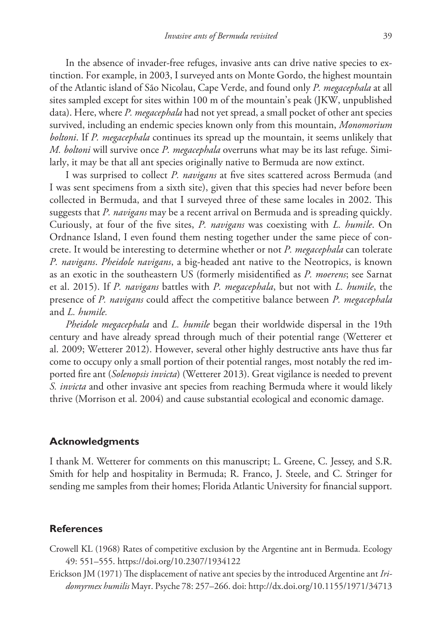In the absence of invader-free refuges, invasive ants can drive native species to extinction. For example, in 2003, I surveyed ants on Monte Gordo, the highest mountain of the Atlantic island of São Nicolau, Cape Verde, and found only *P. megacephala* at all sites sampled except for sites within 100 m of the mountain's peak (JKW, unpublished data). Here, where *P. megacephala* had not yet spread, a small pocket of other ant species survived, including an endemic species known only from this mountain, *Monomorium boltoni*. If *P. megacephala* continues its spread up the mountain, it seems unlikely that *M. boltoni* will survive once *P. megacephala* overruns what may be its last refuge. Similarly, it may be that all ant species originally native to Bermuda are now extinct.

I was surprised to collect *P. navigans* at five sites scattered across Bermuda (and I was sent specimens from a sixth site), given that this species had never before been collected in Bermuda, and that I surveyed three of these same locales in 2002. This suggests that *P. navigans* may be a recent arrival on Bermuda and is spreading quickly. Curiously, at four of the five sites, *P. navigans* was coexisting with *L. humile*. On Ordnance Island, I even found them nesting together under the same piece of concrete. It would be interesting to determine whether or not *P. megacephala* can tolerate *P. navigans*. *Pheidole navigans*, a big-headed ant native to the Neotropics, is known as an exotic in the southeastern US (formerly misidentified as *P. moerens*; see Sarnat et al. 2015). If *P. navigans* battles with *P. megacephala*, but not with *L. humile*, the presence of *P. navigans* could affect the competitive balance between *P. megacephala* and *L. humile.*

*Pheidole megacephala* and *L. humile* began their worldwide dispersal in the 19th century and have already spread through much of their potential range (Wetterer et al. 2009; Wetterer 2012). However, several other highly destructive ants have thus far come to occupy only a small portion of their potential ranges, most notably the red imported fire ant (*Solenopsis invicta*) (Wetterer 2013). Great vigilance is needed to prevent *S. invicta* and other invasive ant species from reaching Bermuda where it would likely thrive (Morrison et al. 2004) and cause substantial ecological and economic damage.

#### **Acknowledgments**

I thank M. Wetterer for comments on this manuscript; L. Greene, C. Jessey, and S.R. Smith for help and hospitality in Bermuda; R. Franco, J. Steele, and C. Stringer for sending me samples from their homes; Florida Atlantic University for financial support.

#### **References**

- Crowell KL (1968) Rates of competitive exclusion by the Argentine ant in Bermuda. Ecology 49: 551–555.<https://doi.org/10.2307/1934122>
- Erickson JM (1971) The displacement of native ant species by the introduced Argentine ant *Iridomyrmex humilis* Mayr. Psyche 78: 257–266. doi:<http://dx.doi.org/10.1155/1971/34713>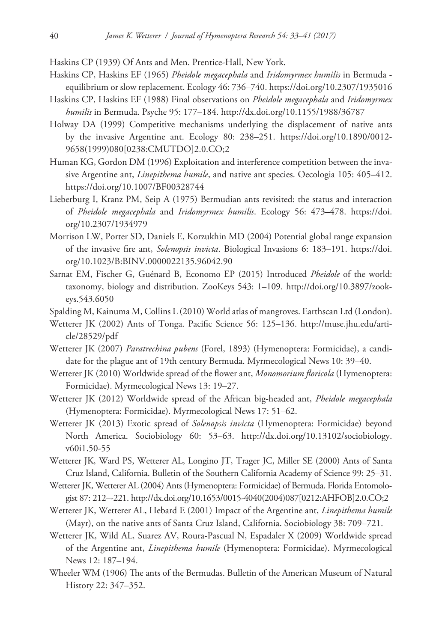Haskins CP (1939) Of Ants and Men. Prentice-Hall, New York.

- Haskins CP, Haskins EF (1965) *Pheidole megacephala* and *Iridomyrmex humilis* in Bermuda equilibrium or slow replacement. Ecology 46: 736–740.<https://doi.org/10.2307/1935016>
- Haskins CP, Haskins EF (1988) Final observations on *Pheidole megacephala* and *Iridomyrmex humilis* in Bermuda. Psyche 95: 177–184.<http://dx.doi.org/10.1155/1988/36787>
- Holway DA (1999) Competitive mechanisms underlying the displacement of native ants by the invasive Argentine ant. Ecology 80: 238–251. [https://doi.org/10.1890/0012-](https://doi.org/10.1890/0012-9658(1999)080%5B0238:CMUTDO%5D2.0.CO;2) [9658\(1999\)080\[0238:CMUTDO\]2.0.CO;2](https://doi.org/10.1890/0012-9658(1999)080%5B0238:CMUTDO%5D2.0.CO;2)
- Human KG, Gordon DM (1996) Exploitation and interference competition between the invasive Argentine ant, *Linepithema humile*, and native ant species. Oecologia 105: 405–412. <https://doi.org/10.1007/BF00328744>
- Lieberburg I, Kranz PM, Seip A (1975) Bermudian ants revisited: the status and interaction of *Pheidole megacephala* and *Iridomyrmex humilis*. Ecology 56: 473–478. [https://doi.](https://doi.org/10.2307/1934979) [org/10.2307/1934979](https://doi.org/10.2307/1934979)
- Morrison LW, Porter SD, Daniels E, Korzukhin MD (2004) Potential global range expansion of the invasive fire ant, *Solenopsis invicta*. Biological Invasions 6: 183–191. [https://doi.](https://doi.org/10.1023/B:BINV.0000022135.96042.90) [org/10.1023/B:BINV.0000022135.96042.90](https://doi.org/10.1023/B:BINV.0000022135.96042.90)
- Sarnat EM, Fischer G, Guénard B, Economo EP (2015) Introduced *Pheidole* of the world: taxonomy, biology and distribution. ZooKeys 543: 1–109. [http://doi.org/10.3897/zook](http://doi.org/10.3897/zookeys.543.6050)[eys.543.6050](http://doi.org/10.3897/zookeys.543.6050)
- Spalding M, Kainuma M, Collins L (2010) World atlas of mangroves. Earthscan Ltd (London).
- Wetterer JK (2002) Ants of Tonga. Pacific Science 56: 125–136. [http://muse.jhu.edu/arti](http://muse.jhu.edu/article/28529/pdf)[cle/28529/pdf](http://muse.jhu.edu/article/28529/pdf)
- Wetterer JK (2007) *Paratrechina pubens* (Forel, 1893) (Hymenoptera: Formicidae), a candidate for the plague ant of 19th century Bermuda. Myrmecological News 10: 39–40.
- Wetterer JK (2010) Worldwide spread of the flower ant, *Monomorium floricola* (Hymenoptera: Formicidae). Myrmecological News 13: 19–27.
- Wetterer JK (2012) Worldwide spread of the African big-headed ant, *Pheidole megacephala*  (Hymenoptera: Formicidae). Myrmecological News 17: 51–62.
- Wetterer JK (2013) Exotic spread of *Solenopsis invicta* (Hymenoptera: Formicidae) beyond North America. Sociobiology 60: 53–63. [http://dx.doi.org/10.13102/sociobiology.](http://dx.doi.org/10.13102/sociobiology.v60i1.50-55) [v60i1.50-55](http://dx.doi.org/10.13102/sociobiology.v60i1.50-55)
- Wetterer JK, Ward PS, Wetterer AL, Longino JT, Trager JC, Miller SE (2000) Ants of Santa Cruz Island, California. Bulletin of the Southern California Academy of Science 99: 25–31.
- Wetterer JK, Wetterer AL (2004) Ants (Hymenoptera: Formicidae) of Bermuda. Florida Entomologist 87: 212–-221. [http://dx.doi.org/10.1653/0015-4040\(2004\)087\[0212:AHFOB\]2.0.CO;2](http://dx.doi.org/10.1653/0015-4040(2004)087%5B0212:AHFOB%5D2.0.CO;2)
- Wetterer JK, Wetterer AL, Hebard E (2001) Impact of the Argentine ant, *Linepithema humile* (Mayr), on the native ants of Santa Cruz Island, California. Sociobiology 38: 709–721.
- Wetterer JK, Wild AL, Suarez AV, Roura-Pascual N, Espadaler X (2009) Worldwide spread of the Argentine ant, *Linepithema humile* (Hymenoptera: Formicidae). Myrmecological News 12: 187–194.
- Wheeler WM (1906) The ants of the Bermudas. Bulletin of the American Museum of Natural History 22: 347–352.